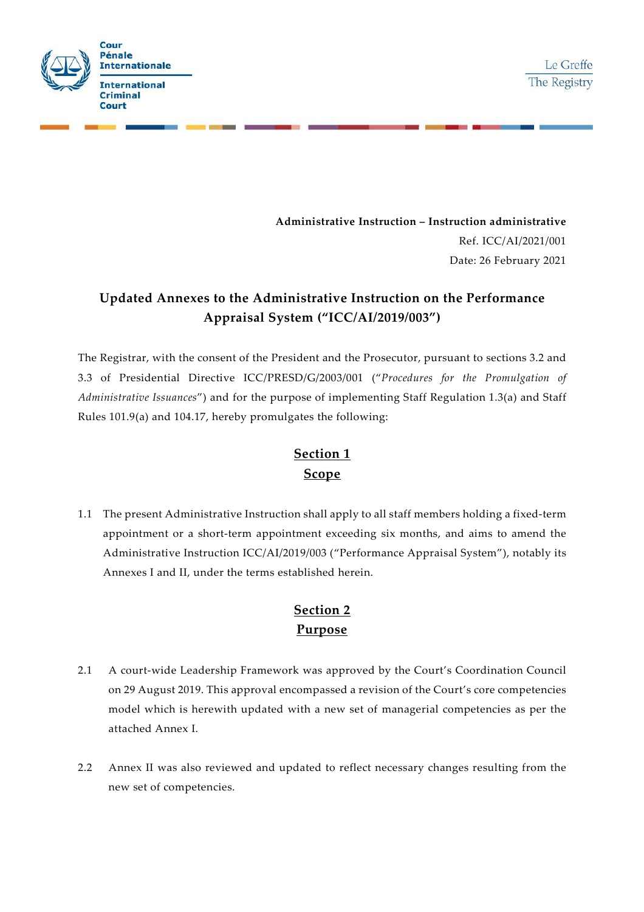

**Administrative Instruction – Instruction administrative**  Ref. ICC/AI/2021/001 Date: 26 February 2021

## **Updated Annexes to the Administrative Instruction on the Performance Appraisal System ("ICC/AI/2019/003")**

The Registrar, with the consent of the President and the Prosecutor, pursuant to sections 3.2 and 3.3 of Presidential Directive ICC/PRESD/G/2003/001 ("*Procedures for the Promulgation of Administrative Issuances*") and for the purpose of implementing Staff Regulation 1.3(a) and Staff Rules 101.9(a) and 104.17, hereby promulgates the following:

## **Section 1 Scope**

1.1 The present Administrative Instruction shall apply to all staff members holding a fixed-term appointment or a short-term appointment exceeding six months, and aims to amend the Administrative Instruction ICC/AI/2019/003 ("Performance Appraisal System"), notably its Annexes I and II, under the terms established herein.

## **Section 2 Purpose**

- 2.1 A court-wide Leadership Framework was approved by the Court's Coordination Council on 29 August 2019. This approval encompassed a revision of the Court's core competencies model which is herewith updated with a new set of managerial competencies as per the attached Annex I.
- 2.2 Annex II was also reviewed and updated to reflect necessary changes resulting from the new set of competencies.